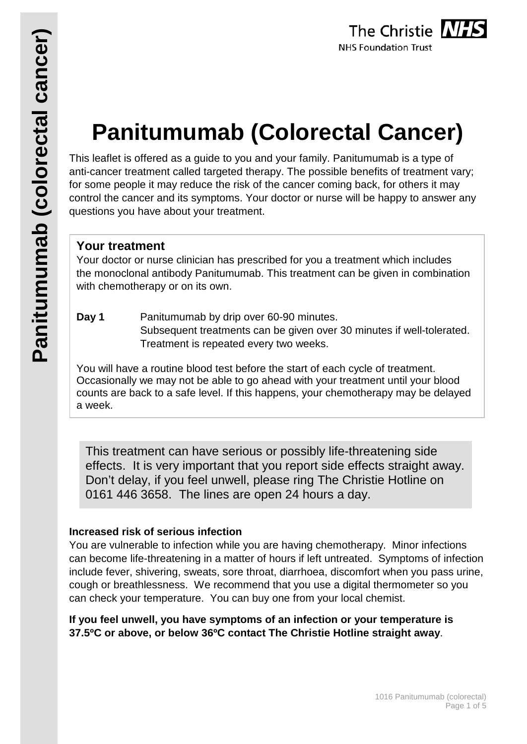# **Panitumumab (Colorectal Cancer)**

This leaflet is offered as a guide to you and your family. Panitumumab is a type of anti-cancer treatment called targeted therapy. The possible benefits of treatment vary; for some people it may reduce the risk of the cancer coming back, for others it may control the cancer and its symptoms. Your doctor or nurse will be happy to answer any questions you have about your treatment.

### **Your treatment**

Your doctor or nurse clinician has prescribed for you a treatment which includes the monoclonal antibody Panitumumab. This treatment can be given in combination with chemotherapy or on its own.

**Day 1** Panitumumab by drip over 60-90 minutes. Subsequent treatments can be given over 30 minutes if well-tolerated. Treatment is repeated every two weeks.

You will have a routine blood test before the start of each cycle of treatment. Occasionally we may not be able to go ahead with your treatment until your blood counts are back to a safe level. If this happens, your chemotherapy may be delayed a week.

This treatment can have serious or possibly life-threatening side effects. It is very important that you report side effects straight away. Don't delay, if you feel unwell, please ring The Christie Hotline on 0161 446 3658. The lines are open 24 hours a day.

#### **Increased risk of serious infection**

You are vulnerable to infection while you are having chemotherapy. Minor infections can become life-threatening in a matter of hours if left untreated. Symptoms of infection include fever, shivering, sweats, sore throat, diarrhoea, discomfort when you pass urine, cough or breathlessness. We recommend that you use a digital thermometer so you can check your temperature. You can buy one from your local chemist.

**If you feel unwell, you have symptoms of an infection or your temperature is 37.5ºC or above, or below 36ºC contact The Christie Hotline straight away**.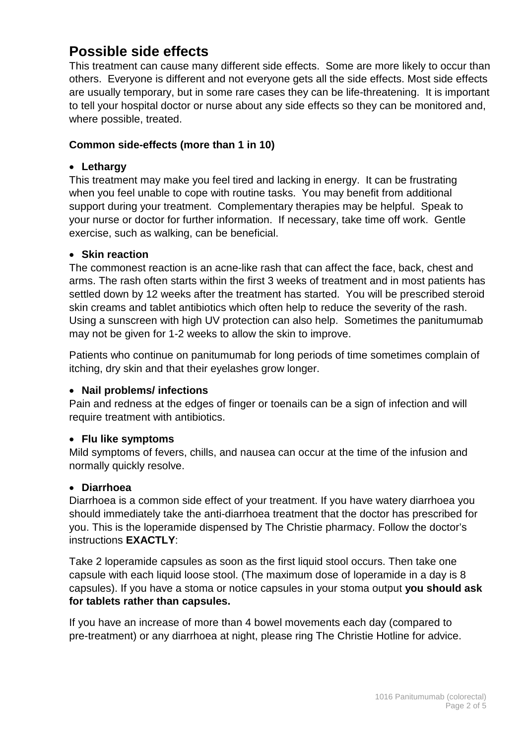# **Possible side effects**

This treatment can cause many different side effects. Some are more likely to occur than others. Everyone is different and not everyone gets all the side effects. Most side effects are usually temporary, but in some rare cases they can be life-threatening. It is important to tell your hospital doctor or nurse about any side effects so they can be monitored and, where possible, treated.

#### **Common side-effects (more than 1 in 10)**

#### • **Lethargy**

This treatment may make you feel tired and lacking in energy. It can be frustrating when you feel unable to cope with routine tasks. You may benefit from additional support during your treatment. Complementary therapies may be helpful. Speak to your nurse or doctor for further information. If necessary, take time off work. Gentle exercise, such as walking, can be beneficial.

#### • **Skin reaction**

The commonest reaction is an acne-like rash that can affect the face, back, chest and arms. The rash often starts within the first 3 weeks of treatment and in most patients has settled down by 12 weeks after the treatment has started. You will be prescribed steroid skin creams and tablet antibiotics which often help to reduce the severity of the rash. Using a sunscreen with high UV protection can also help. Sometimes the panitumumab may not be given for 1-2 weeks to allow the skin to improve.

Patients who continue on panitumumab for long periods of time sometimes complain of itching, dry skin and that their eyelashes grow longer.

#### • **Nail problems/ infections**

Pain and redness at the edges of finger or toenails can be a sign of infection and will require treatment with antibiotics.

#### • **Flu like symptoms**

Mild symptoms of fevers, chills, and nausea can occur at the time of the infusion and normally quickly resolve.

#### • **Diarrhoea**

Diarrhoea is a common side effect of your treatment. If you have watery diarrhoea you should immediately take the anti-diarrhoea treatment that the doctor has prescribed for you. This is the loperamide dispensed by The Christie pharmacy. Follow the doctor's instructions **EXACTLY**:

Take 2 loperamide capsules as soon as the first liquid stool occurs. Then take one capsule with each liquid loose stool. (The maximum dose of loperamide in a day is 8 capsules). If you have a stoma or notice capsules in your stoma output **you should ask for tablets rather than capsules.**

If you have an increase of more than 4 bowel movements each day (compared to pre-treatment) or any diarrhoea at night, please ring The Christie Hotline for advice.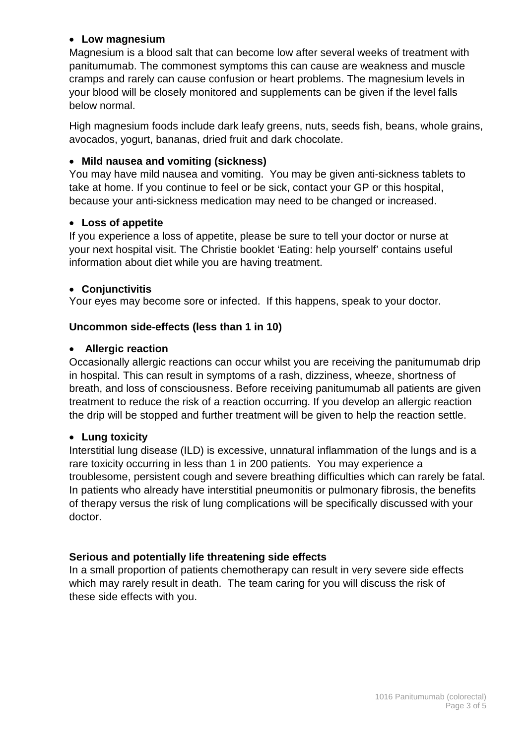#### • **Low magnesium**

Magnesium is a blood salt that can become low after several weeks of treatment with panitumumab. The commonest symptoms this can cause are weakness and muscle cramps and rarely can cause confusion or heart problems. The magnesium levels in your blood will be closely monitored and supplements can be given if the level falls below normal.

High magnesium foods include dark leafy greens, nuts, seeds fish, beans, whole grains, avocados, yogurt, bananas, dried fruit and dark chocolate.

#### • **Mild nausea and vomiting (sickness)**

You may have mild nausea and vomiting. You may be given anti-sickness tablets to take at home. If you continue to feel or be sick, contact your GP or this hospital, because your anti-sickness medication may need to be changed or increased.

#### • **Loss of appetite**

If you experience a loss of appetite, please be sure to tell your doctor or nurse at your next hospital visit. The Christie booklet 'Eating: help yourself' contains useful information about diet while you are having treatment.

#### • **Conjunctivitis**

Your eyes may become sore or infected. If this happens, speak to your doctor.

#### **Uncommon side-effects (less than 1 in 10)**

#### • **Allergic reaction**

Occasionally allergic reactions can occur whilst you are receiving the panitumumab drip in hospital. This can result in symptoms of a rash, dizziness, wheeze, shortness of breath, and loss of consciousness. Before receiving panitumumab all patients are given treatment to reduce the risk of a reaction occurring. If you develop an allergic reaction the drip will be stopped and further treatment will be given to help the reaction settle.

#### • **Lung toxicity**

Interstitial lung disease (ILD) is excessive, unnatural inflammation of the lungs and is a rare toxicity occurring in less than 1 in 200 patients. You may experience a troublesome, persistent cough and severe breathing difficulties which can rarely be fatal. In patients who already have interstitial pneumonitis or pulmonary fibrosis, the benefits of therapy versus the risk of lung complications will be specifically discussed with your doctor.

#### **Serious and potentially life threatening side effects**

In a small proportion of patients chemotherapy can result in very severe side effects which may rarely result in death. The team caring for you will discuss the risk of these side effects with you.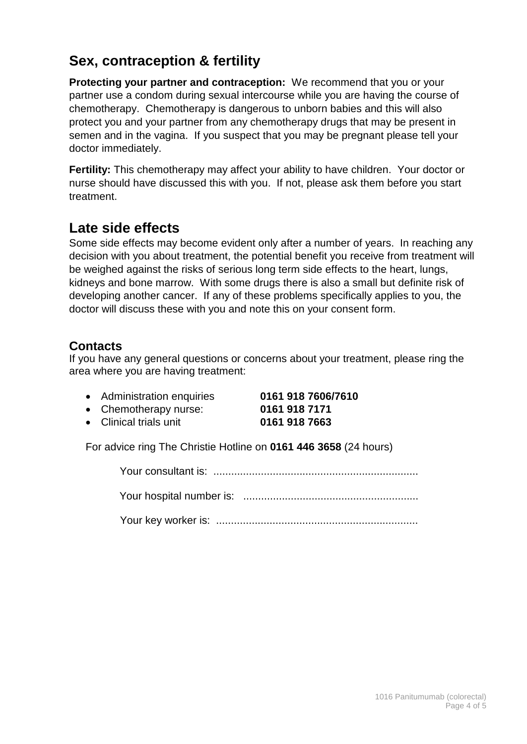# **Sex, contraception & fertility**

**Protecting your partner and contraception:** We recommend that you or your partner use a condom during sexual intercourse while you are having the course of chemotherapy. Chemotherapy is dangerous to unborn babies and this will also protect you and your partner from any chemotherapy drugs that may be present in semen and in the vagina. If you suspect that you may be pregnant please tell your doctor immediately.

**Fertility:** This chemotherapy may affect your ability to have children. Your doctor or nurse should have discussed this with you. If not, please ask them before you start treatment.

## **Late side effects**

Some side effects may become evident only after a number of years. In reaching any decision with you about treatment, the potential benefit you receive from treatment will be weighed against the risks of serious long term side effects to the heart, lungs, kidneys and bone marrow. With some drugs there is also a small but definite risk of developing another cancer. If any of these problems specifically applies to you, the doctor will discuss these with you and note this on your consent form.

### **Contacts**

If you have any general questions or concerns about your treatment, please ring the area where you are having treatment:

| <b>Administration enquiries</b> | 0161 918 7606/7610 |
|---------------------------------|--------------------|
| Obsessate avaint in the at-     | AACA AAQ 7474      |

• Chemotherapy nurse: **0161 918 7171** • Clinical trials unit **0161 918 7663**

For advice ring The Christie Hotline on **0161 446 3658** (24 hours)

Your consultant is: .....................................................................

Your hospital number is: ...........................................................

Your key worker is: ....................................................................